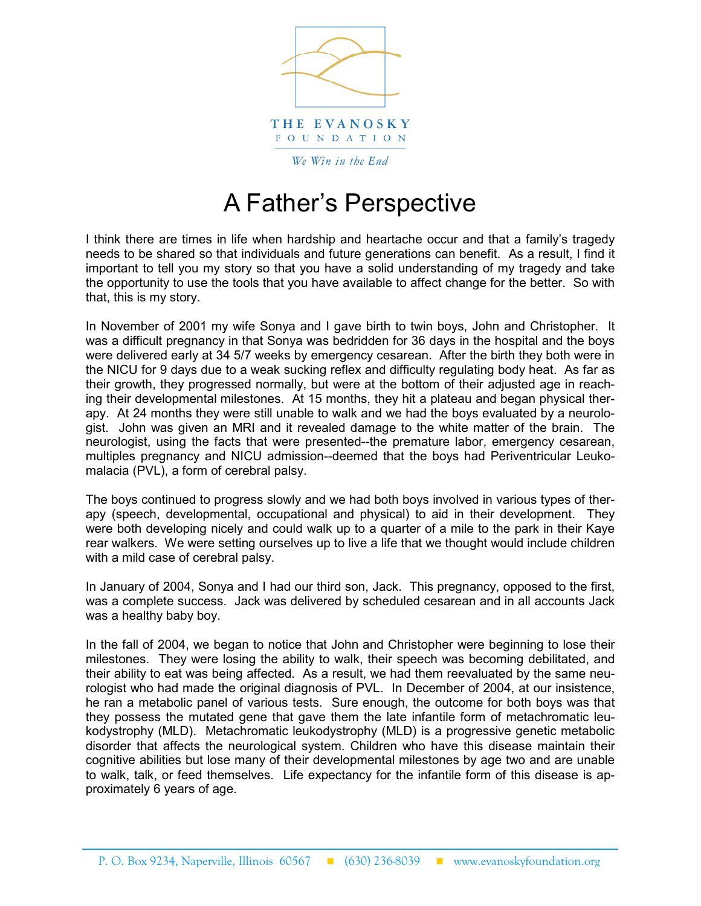

## A Father's Perspective

I think there are times in life when hardship and heartache occur and that a family's tragedy needs to be shared so that individuals and future generations can benefit. As a result, I find it important to tell you my story so that you have a solid understanding of my tragedy and take the opportunity to use the tools that you have available to affect change for the better. So with that, this is my story.

In November of 2001 my wife Sonya and I gave birth to twin boys, John and Christopher. It was a difficult pregnancy in that Sonya was bedridden for 36 days in the hospital and the boys were delivered early at 34 5/7 weeks by emergency cesarean. After the birth they both were in the NICU for 9 days due to a weak sucking reflex and difficulty regulating body heat. As far as their growth, they progressed normally, but were at the bottom of their adjusted age in reaching their developmental milestones. At 15 months, they hit a plateau and began physical therapy. At 24 months they were still unable to walk and we had the boys evaluated by a neurologist. John was given an MRI and it revealed damage to the white matter of the brain. The neurologist, using the facts that were presented--the premature labor, emergency cesarean, multiples pregnancy and NICU admission--deemed that the boys had Periventricular Leukomalacia (PVL), a form of cerebral palsy.

The boys continued to progress slowly and we had both boys involved in various types of therapy (speech, developmental, occupational and physical) to aid in their development. They were both developing nicely and could walk up to a quarter of a mile to the park in their Kaye rear walkers. We were setting ourselves up to live a life that we thought would include children with a mild case of cerebral palsy.

In January of 2004, Sonya and I had our third son, Jack. This pregnancy, opposed to the first, was a complete success. Jack was delivered by scheduled cesarean and in all accounts Jack was a healthy baby boy.

In the fall of 2004, we began to notice that John and Christopher were beginning to lose their milestones. They were losing the ability to walk, their speech was becoming debilitated, and their ability to eat was being affected. As a result, we had them reevaluated by the same neurologist who had made the original diagnosis of PVL. In December of 2004, at our insistence, he ran a metabolic panel of various tests. Sure enough, the outcome for both boys was that they possess the mutated gene that gave them the late infantile form of metachromatic leukodystrophy (MLD). Metachromatic leukodystrophy (MLD) is a progressive genetic metabolic disorder that affects the neurological system. Children who have this disease maintain their cognitive abilities but lose many of their developmental milestones by age two and are unable to walk, talk, or feed themselves. Life expectancy for the infantile form of this disease is approximately 6 years of age.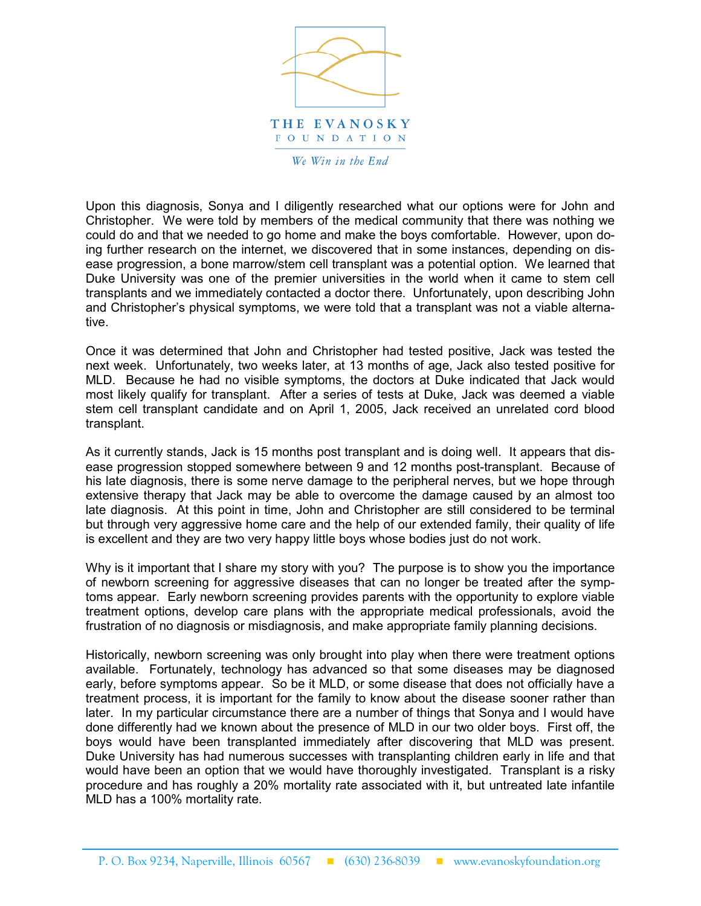

Upon this diagnosis, Sonya and I diligently researched what our options were for John and Christopher. We were told by members of the medical community that there was nothing we could do and that we needed to go home and make the boys comfortable. However, upon doing further research on the internet, we discovered that in some instances, depending on disease progression, a bone marrow/stem cell transplant was a potential option. We learned that Duke University was one of the premier universities in the world when it came to stem cell transplants and we immediately contacted a doctor there. Unfortunately, upon describing John and Christopher's physical symptoms, we were told that a transplant was not a viable alternative.

Once it was determined that John and Christopher had tested positive, Jack was tested the next week. Unfortunately, two weeks later, at 13 months of age, Jack also tested positive for MLD. Because he had no visible symptoms, the doctors at Duke indicated that Jack would most likely qualify for transplant. After a series of tests at Duke, Jack was deemed a viable stem cell transplant candidate and on April 1, 2005, Jack received an unrelated cord blood transplant.

As it currently stands, Jack is 15 months post transplant and is doing well. It appears that disease progression stopped somewhere between 9 and 12 months post-transplant. Because of his late diagnosis, there is some nerve damage to the peripheral nerves, but we hope through extensive therapy that Jack may be able to overcome the damage caused by an almost too late diagnosis. At this point in time, John and Christopher are still considered to be terminal but through very aggressive home care and the help of our extended family, their quality of life is excellent and they are two very happy little boys whose bodies just do not work.

Why is it important that I share my story with you? The purpose is to show you the importance of newborn screening for aggressive diseases that can no longer be treated after the symptoms appear. Early newborn screening provides parents with the opportunity to explore viable treatment options, develop care plans with the appropriate medical professionals, avoid the frustration of no diagnosis or misdiagnosis, and make appropriate family planning decisions.

Historically, newborn screening was only brought into play when there were treatment options available. Fortunately, technology has advanced so that some diseases may be diagnosed early, before symptoms appear. So be it MLD, or some disease that does not officially have a treatment process, it is important for the family to know about the disease sooner rather than later. In my particular circumstance there are a number of things that Sonya and I would have done differently had we known about the presence of MLD in our two older boys. First off, the boys would have been transplanted immediately after discovering that MLD was present. Duke University has had numerous successes with transplanting children early in life and that would have been an option that we would have thoroughly investigated. Transplant is a risky procedure and has roughly a 20% mortality rate associated with it, but untreated late infantile MLD has a 100% mortality rate.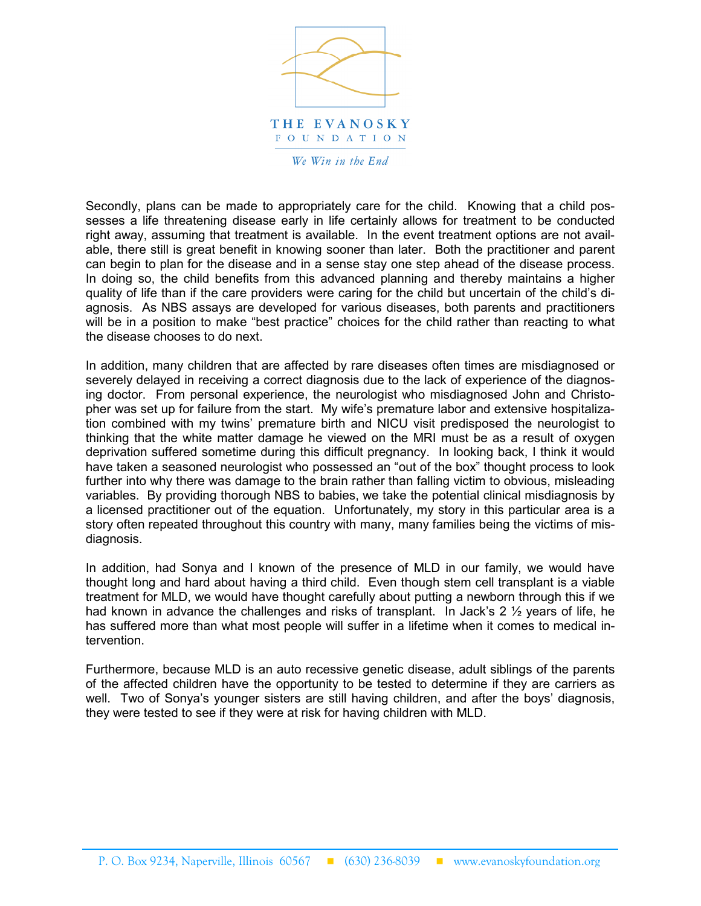

Secondly, plans can be made to appropriately care for the child. Knowing that a child possesses a life threatening disease early in life certainly allows for treatment to be conducted right away, assuming that treatment is available. In the event treatment options are not available, there still is great benefit in knowing sooner than later. Both the practitioner and parent can begin to plan for the disease and in a sense stay one step ahead of the disease process. In doing so, the child benefits from this advanced planning and thereby maintains a higher quality of life than if the care providers were caring for the child but uncertain of the child's diagnosis. As NBS assays are developed for various diseases, both parents and practitioners will be in a position to make "best practice" choices for the child rather than reacting to what the disease chooses to do next.

In addition, many children that are affected by rare diseases often times are misdiagnosed or severely delayed in receiving a correct diagnosis due to the lack of experience of the diagnosing doctor. From personal experience, the neurologist who misdiagnosed John and Christopher was set up for failure from the start. My wife's premature labor and extensive hospitalization combined with my twins' premature birth and NICU visit predisposed the neurologist to thinking that the white matter damage he viewed on the MRI must be as a result of oxygen deprivation suffered sometime during this difficult pregnancy. In looking back, I think it would have taken a seasoned neurologist who possessed an "out of the box" thought process to look further into why there was damage to the brain rather than falling victim to obvious, misleading variables. By providing thorough NBS to babies, we take the potential clinical misdiagnosis by a licensed practitioner out of the equation. Unfortunately, my story in this particular area is a story often repeated throughout this country with many, many families being the victims of misdiagnosis.

In addition, had Sonya and I known of the presence of MLD in our family, we would have thought long and hard about having a third child. Even though stem cell transplant is a viable treatment for MLD, we would have thought carefully about putting a newborn through this if we had known in advance the challenges and risks of transplant. In Jack's 2 ½ years of life, he has suffered more than what most people will suffer in a lifetime when it comes to medical intervention.

Furthermore, because MLD is an auto recessive genetic disease, adult siblings of the parents of the affected children have the opportunity to be tested to determine if they are carriers as well. Two of Sonya's younger sisters are still having children, and after the boys' diagnosis, they were tested to see if they were at risk for having children with MLD.